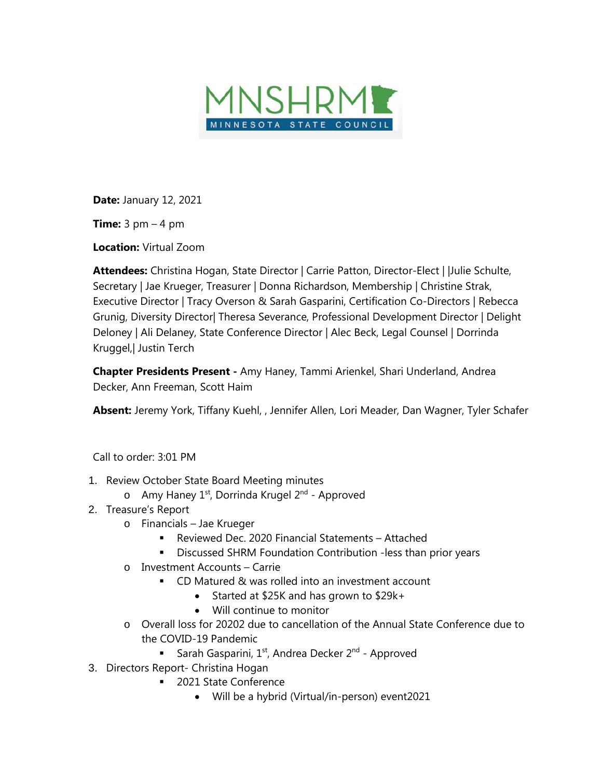

**Date:** January 12, 2021

**Time:** 3 pm – 4 pm

**Location:** Virtual Zoom

**Attendees:** Christina Hogan, State Director | Carrie Patton, Director-Elect | |Julie Schulte, Secretary | Jae Krueger, Treasurer | Donna Richardson, Membership | Christine Strak, Executive Director | Tracy Overson & Sarah Gasparini, Certification Co-Directors | Rebecca Grunig, Diversity Director| Theresa Severance, Professional Development Director | Delight Deloney | Ali Delaney, State Conference Director | Alec Beck, Legal Counsel | Dorrinda Kruggel,| Justin Terch

**Chapter Presidents Present -** Amy Haney, Tammi Arienkel, Shari Underland, Andrea Decker, Ann Freeman, Scott Haim

**Absent:** Jeremy York, Tiffany Kuehl, , Jennifer Allen, Lori Meader, Dan Wagner, Tyler Schafer

Call to order: 3:01 PM

- 1. Review October State Board Meeting minutes
	- $\circ$  Amy Haney 1<sup>st</sup>, Dorrinda Krugel 2<sup>nd</sup> Approved
- 2. Treasure's Report
	- o Financials Jae Krueger
		- Reviewed Dec. 2020 Financial Statements Attached
		- **Discussed SHRM Foundation Contribution -less than prior years**
	- o Investment Accounts Carrie
		- **CD** Matured & was rolled into an investment account
			- Started at \$25K and has grown to \$29k+
			- Will continue to monitor
	- o Overall loss for 20202 due to cancellation of the Annual State Conference due to the COVID-19 Pandemic
		- Sarah Gasparini,  $1^{st}$ , Andrea Decker  $2^{nd}$  Approved
- 3. Directors Report- Christina Hogan
	- 2021 State Conference
		- Will be a hybrid (Virtual/in-person) event2021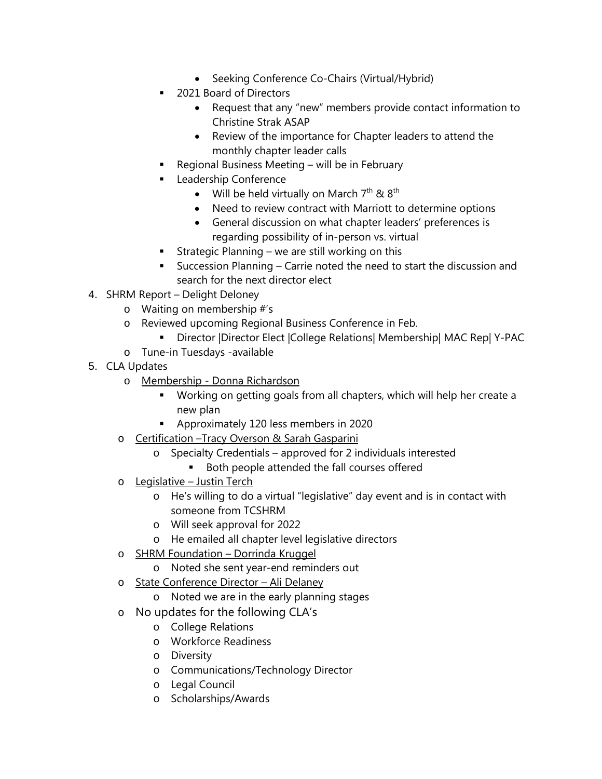- Seeking Conference Co-Chairs (Virtual/Hybrid)
- 2021 Board of Directors
	- Request that any "new" members provide contact information to Christine Strak ASAP
	- Review of the importance for Chapter leaders to attend the monthly chapter leader calls
- Regional Business Meeting will be in February
- Leadership Conference
	- Will be held virtually on March  $7<sup>th</sup>$  &  $8<sup>th</sup>$
	- Need to review contract with Marriott to determine options
	- General discussion on what chapter leaders' preferences is regarding possibility of in-person vs. virtual
- **Strategic Planning we are still working on this**
- Succession Planning Carrie noted the need to start the discussion and search for the next director elect
- 4. SHRM Report Delight Deloney
	- o Waiting on membership #'s
	- o Reviewed upcoming Regional Business Conference in Feb.
		- Director |Director Elect |College Relations| Membership| MAC Rep| Y-PAC
	- o Tune-in Tuesdays -available
- 5. CLA Updates
	- o Membership Donna Richardson
		- Working on getting goals from all chapters, which will help her create a new plan
		- **Approximately 120 less members in 2020**
	- o Certification –Tracy Overson & Sarah Gasparini
		- o Specialty Credentials approved for 2 individuals interested
			- **Both people attended the fall courses offered**
	- o Legislative Justin Terch
		- o He's willing to do a virtual "legislative" day event and is in contact with someone from TCSHRM
		- o Will seek approval for 2022
		- o He emailed all chapter level legislative directors
	- o SHRM Foundation Dorrinda Kruggel
		- o Noted she sent year-end reminders out
	- o State Conference Director Ali Delaney
		- o Noted we are in the early planning stages
	- o No updates for the following CLA's
		- o College Relations
		- o Workforce Readiness
		- o Diversity
		- o Communications/Technology Director
		- o Legal Council
		- o Scholarships/Awards